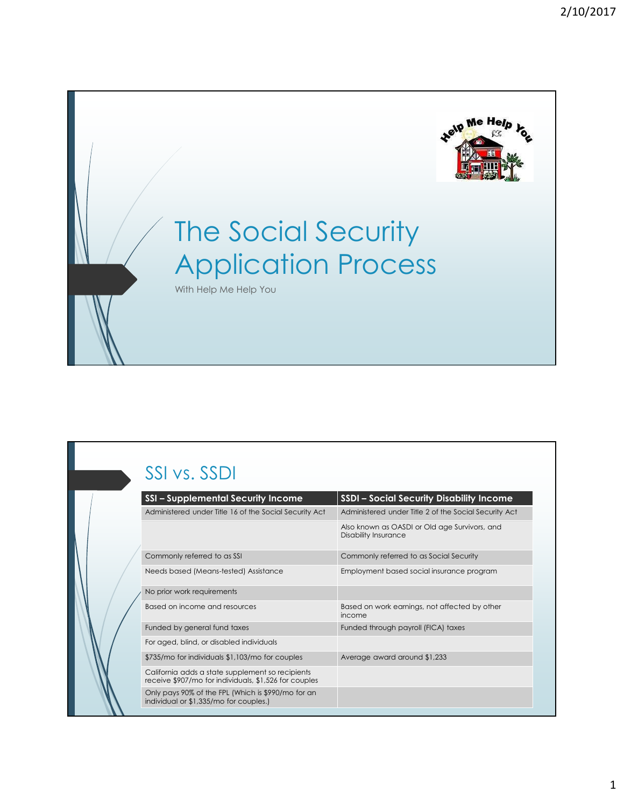

# The Social Security Application Process

## SSI vs. SSDI

| THE SOCIAL SECUTITY                                                                                       |                                                         |
|-----------------------------------------------------------------------------------------------------------|---------------------------------------------------------|
| <b>Application Process</b><br>With Help Me Help You                                                       |                                                         |
|                                                                                                           |                                                         |
|                                                                                                           |                                                         |
|                                                                                                           |                                                         |
|                                                                                                           |                                                         |
|                                                                                                           |                                                         |
|                                                                                                           |                                                         |
|                                                                                                           |                                                         |
|                                                                                                           |                                                         |
|                                                                                                           |                                                         |
|                                                                                                           |                                                         |
|                                                                                                           |                                                         |
|                                                                                                           |                                                         |
| SSI vs. SSDI                                                                                              |                                                         |
| <b>SSI-Supplemental Security Income</b>                                                                   | <b>SSDI - Social Security Disability Income</b>         |
| Administered under Title 16 of the Social Security Act                                                    | Administered under Title 2 of the Social Security Act   |
|                                                                                                           | Also known as OASDI or Old age Survivors, and           |
|                                                                                                           | Disability Insurance                                    |
|                                                                                                           |                                                         |
| Commonly referred to as SSI                                                                               | Commonly referred to as Social Security                 |
| Needs based (Means-tested) Assistance                                                                     | Employment based social insurance program               |
|                                                                                                           |                                                         |
| No prior work requirements                                                                                |                                                         |
| Based on income and resources                                                                             | Based on work earnings, not affected by other<br>income |
| Funded by general fund taxes                                                                              | Funded through payroll (FICA) taxes                     |
| For aged, blind, or disabled individuals                                                                  |                                                         |
| \$735/mo for individuals \$1,103/mo for couples                                                           | Average award around \$1,233                            |
| California adds a state supplement so recipients<br>receive \$907/mo for individuals, \$1,526 for couples |                                                         |
| Only pays 90% of the FPL (Which is \$990/mo for an<br>individual or \$1,335/mo for couples.)              |                                                         |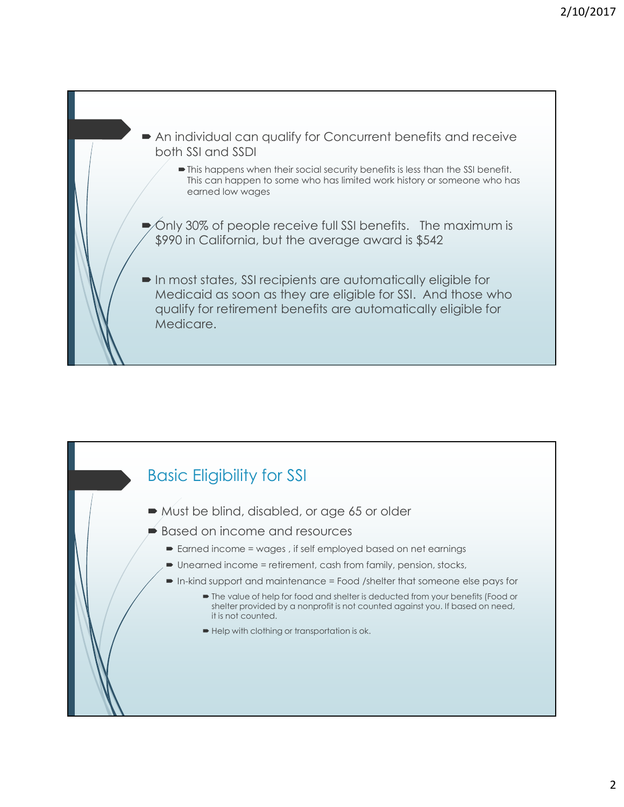

## Basic Eligibility for SSI

- Must be blind, disabled, or age 65 or older
- $\blacktriangleright$  Based on income and resources
	- Earned income = wages , if self employed based on net earnings
	- Unearned income = retirement, cash from family, pension, stocks,
	- In-kind support and maintenance = Food /shelter that someone else pays for
		- The value of help for food and shelter is deducted from your benefits (Food or shelter provided by a nonprofit is not counted against you. If based on need, it is not counted.
		- Help with clothing or transportation is ok.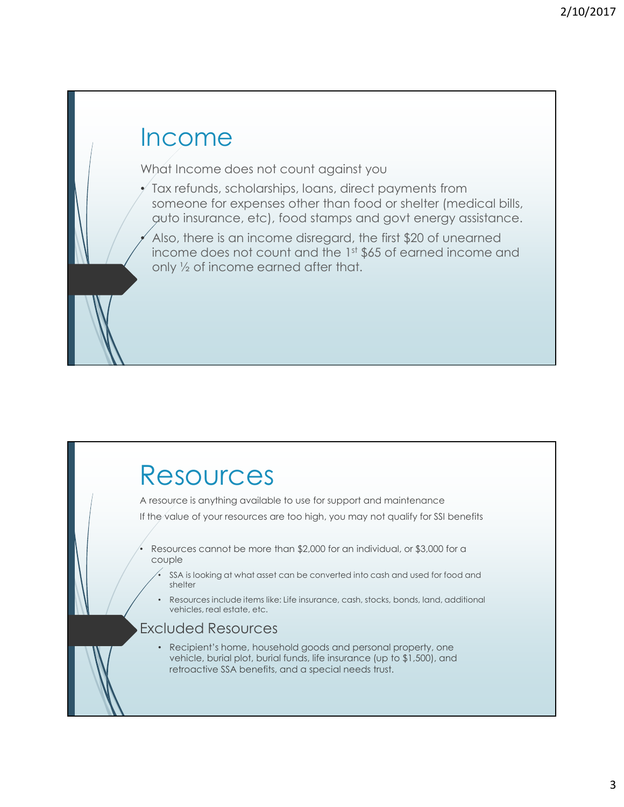## Income What Income does not count against you  $\checkmark$  Tax refunds, scholarships, loans, direct payments from someone for expenses other than food or shelter (medical bills, auto insurance, etc), food stamps and govt energy assistance. Also, there is an income disregard, the first \$20 of unearned income does not count and the 1st \$65 of earned income and only ½ of income earned after that.

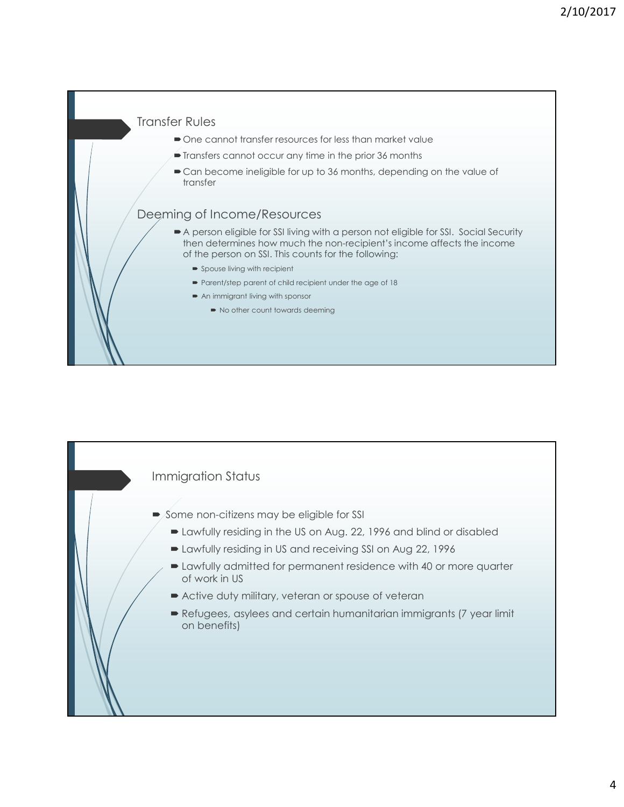#### Transfer Rules

- $\bullet$  One cannot transfer resources for less than market value
- Transfers cannot occur any time in the prior 36 months
- $\blacktriangleright$  Can become ineligible for up to 36 months, depending on the value of transfer

#### Deeming of Income/Resources

- A person eligible for SSI living with a person not eligible for SSI. Social Security then determines how much the non-recipient's income affects the income of the person on SSI. This counts for the following:
	- **Spouse living with recipient**
	- Parent/step parent of child recipient under the age of 18
	- An immigrant living with sponsor
		- No other count towards deeming

#### Immigration Status

- Some non-citizens may be eligible for SSI
	- Lawfully residing in the US on Aug. 22, 1996 and blind or disabled
	- Lawfully residing in US and receiving SSI on Aug 22, 1996
- Lawfully admitted for permanent residence with 40 or more quarter of work in US Martington Status<br>
Some non-citizens may be eligible for SSI<br>
Detailiby residing in the US on Aug. 22, 1996 and blind or disabled<br>
Detailiby residing in US and receiving SSI on Aug 22, 1996<br>
Detailiby admitted for permanen
	- Active duty military, veteran or spouse of veteran
	- on benefits)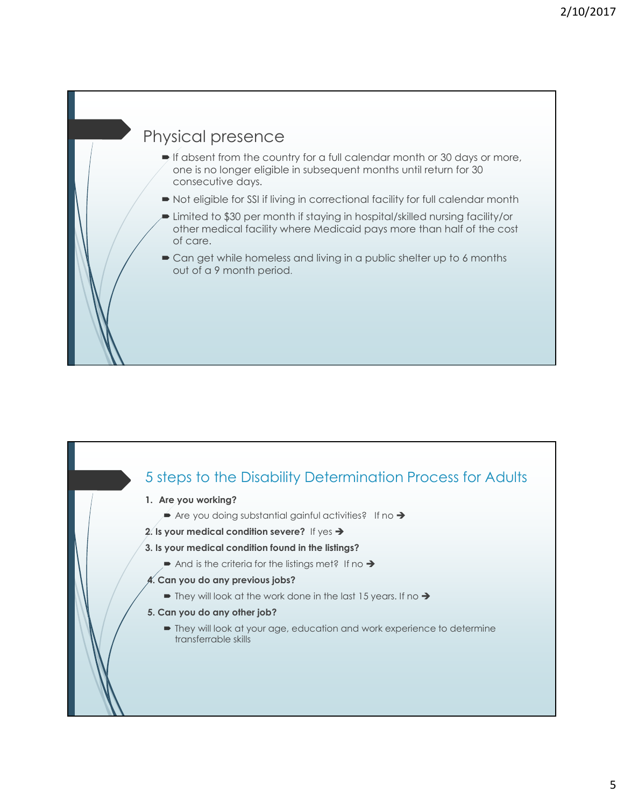## Physical presence

- $\blacktriangleright$  If absent from the country for a full calendar month or 30 days or more, one is no longer eligible in subsequent months until return for 30 consecutive days.
- $\blacksquare$  Not eligible for SSI if living in correctional facility for full calendar month
- Limited to \$30 per month if staying in hospital/skilled nursing facility/or other medical facility where Medicaid pays more than half of the cost of care.
- Can get while homeless and living in a public shelter up to 6 months out of a 9 month period.

### 5 steps to the Disability Determination Process for Adults

- 1. Are you working?
	- $\blacktriangleright$  Are you doing substantial gainful activities? If no  $\blacktriangleright$
- 2. Is your medical condition severe? If yes  $\rightarrow$
- 3. Is your medical condition found in the listings?
	- And is the criteria for the listings met? If no  $\rightarrow$
- 4. Can you do any previous jobs?
	- $\blacktriangleright$  They will look at the work done in the last 15 years. If no  $\blacktriangleright$
- 5. Can you do any other job?
	- They will look at your age, education and work experience to determine transferrable skills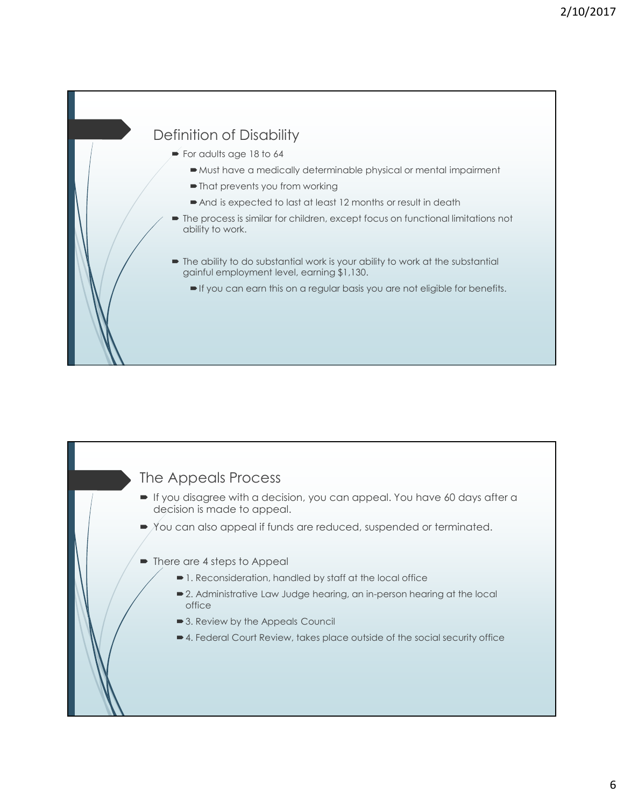### Definition of Disability

- $\blacktriangleright$  For adults age 18 to 64
	- Must have a medically determinable physical or mental impairment
	- $\blacksquare$  That prevents you from working
	- And is expected to last at least 12 months or result in death
- $\blacksquare$  The process is similar for children, except focus on functional limitations not ability to work.
- The ability to do substantial work is your ability to work at the substantial gainful employment level, earning \$1,130.
	- If you can earn this on a regular basis you are not eligible for benefits.

#### The Appeals Process

- If you disagree with a decision, you can appeal. You have 60 days after a decision is made to appeal.
- $\rightarrow$  You can also appeal if funds are reduced, suspended or terminated.
- There are 4 steps to Appeal
	- 1. Reconsideration, handled by staff at the local office
	- 2. Administrative Law Judge hearing, an in-person hearing at the local office with the contract of the contract of the contract of the contract of the contract of the contract of the
	- 3. Review by the Appeals Council
	- 4. Federal Court Review, takes place outside of the social security office